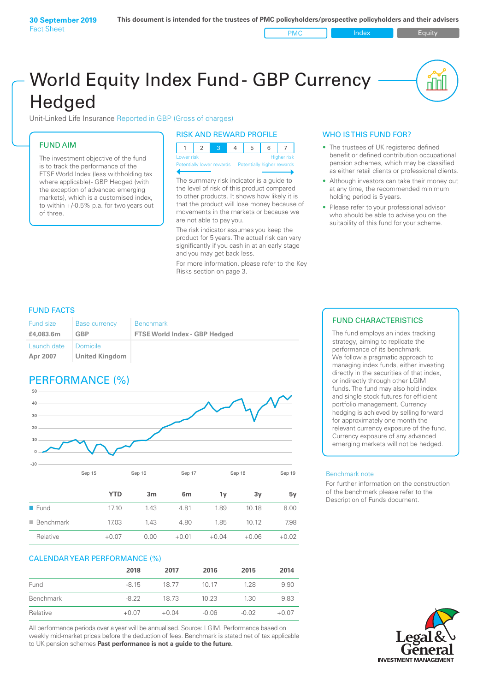# World Equity Index Fund- GBP Currency **Hedged**

Unit-Linked Life Insurance Reported in GBP (Gross of charges)

### FUND AIM

The investment objective of the fund is to track the performance of the FTSE World Index (less withholding tax where applicable) - GBP Hedged (with the exception of advanced emerging markets), which is a customised index, to within +/‑0.5% p.a. for two years out of three.

#### RISK AND REWARD PROFILE

| Lower risk |  |  | <b>Higher risk</b> |
|------------|--|--|--------------------|

ntially lower rewards

The summary risk indicator is a guide to the level of risk of this product compared to other products. It shows how likely it is that the product will lose money because of movements in the markets or because we are not able to pay you.

The risk indicator assumes you keep the product for 5 years. The actual risk can vary significantly if you cash in at an early stage and you may get back less.

For more information, please refer to the Key Risks section on page 3.

#### WHO IS THIS FUND FOR?

- The trustees of UK registered defined benefit or defined contribution occupational pension schemes, which may be classified as either retail clients or professional clients.
- Although investors can take their money out at any time, the recommended minimum holding period is 5 years.
- Please refer to your professional advisor who should be able to advise you on the suitability of this fund for your scheme.

### FUND FACTS

| <b>Fund size</b>        | <b>Base currency</b>              | <b>Benchmark</b>                     |
|-------------------------|-----------------------------------|--------------------------------------|
| £4,083.6m               | GBP                               | <b>FTSE World Index - GBP Hedged</b> |
| Launch date<br>Apr 2007 | Domicile<br><b>United Kingdom</b> |                                      |

# PERFORMANCE (%)



|                          | <b>YTD</b> | 3m   | 6 <sub>m</sub> | 1ν      | 3v      | 5v      |
|--------------------------|------------|------|----------------|---------|---------|---------|
| $\blacksquare$ Fund      | 17.10      | 1.43 | 4.81           | 1.89    | 10.18   | 8.00    |
| $\blacksquare$ Benchmark | 17.03      | 1.43 | 4.80           | 1.85    | 10.12   | 7.98    |
| Relative                 | $+0.07$    | 0.00 | $+0.01$        | $+0.04$ | $+0.06$ | $+0.02$ |

#### CALENDAR YEAR PERFORMANCE (%)

|           | 2018    | 2017    | 2016    | 2015    | 2014    |
|-----------|---------|---------|---------|---------|---------|
| Fund      | $-815$  | 18.77   | 10 17   | 128     | 9.90    |
| Benchmark | -8.22   | 18.73   | 10.23   | 1.30    | 9.83    |
| Relative  | $+0.07$ | $+0.04$ | $-0.06$ | $-0.02$ | $+0.07$ |

All performance periods over a year will be annualised. Source: LGIM. Performance based on weekly mid-market prices before the deduction of fees. Benchmark is stated net of tax applicable to UK pension schemes **Past performance is not a guide to the future.**

### FUND CHARACTERISTICS

The fund employs an index tracking strategy, aiming to replicate the performance of its benchmark. We follow a pragmatic approach to managing index funds, either investing directly in the securities of that index, or indirectly through other LGIM funds. The fund may also hold index and single stock futures for efficient portfolio management. Currency hedging is achieved by selling forward for approximately one month the relevant currency exposure of the fund. Currency exposure of any advanced emerging markets will not be hedged.

#### Benchmark note

For further information on the construction of the benchmark please refer to the Description of Funds document.

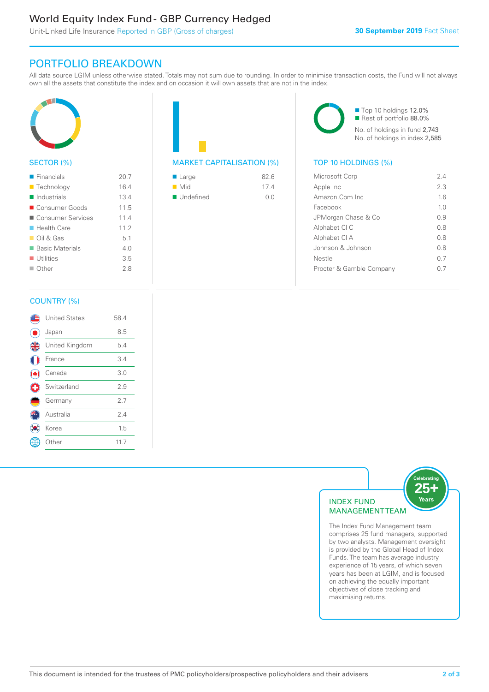# World Equity Index Fund - GBP Currency Hedged

Unit-Linked Life Insurance Reported in GBP (Gross of charges)

## PORTFOLIO BREAKDOWN

All data source LGIM unless otherwise stated. Totals may not sum due to rounding. In order to minimise transaction costs, the Fund will not always own all the assets that constitute the index and on occasion it will own assets that are not in the index.



#### SECTOR (%)

| $\blacksquare$ Financials  | 20.7 |
|----------------------------|------|
| ■ Technology               | 16.4 |
| $\blacksquare$ Industrials | 13.4 |
| ■ Consumer Goods           | 11.5 |
| ■ Consumer Services        | 11.4 |
| $\blacksquare$ Health Care | 112  |
| $\Box$ Oil & Gas           | 5.1  |
| ■ Basic Materials          | 4.0  |
| $\blacksquare$ Utilities   | 3.5  |
| $\Box$ Other               | 28   |



| $\blacksquare$ Large     | 82.6 |
|--------------------------|------|
| $\blacksquare$ Mid       | 174  |
| $\blacksquare$ Undefined | 0 Q  |

■ Top 10 holdings 12.0% Rest of portfolio 88.0% No. of holdings in fund 2,743 No. of holdings in index 2,585

| Microsoft Corp           | 24             |
|--------------------------|----------------|
| Apple Inc                | 23             |
| Amazon Com Inc           | 16             |
| Facebook                 | 1 <sub>0</sub> |
| JPMorgan Chase & Co      | O 9            |
| Alphabet CI C            | 0.8            |
| Alphabet CI A            | 0 S            |
| Johnson & Johnson        | 0 S            |
| Nestle                   | 0 7            |
| Procter & Gamble Company | () /           |
|                          |                |

#### COUNTRY (%)

|   | <b>United States</b> | 58.4 |  |
|---|----------------------|------|--|
|   | Japan                | 8.5  |  |
| 4 | United Kingdom       | 5.4  |  |
|   | France               | 3.4  |  |
|   | Canada               | 3.0  |  |
| O | Switzerland          | 2.9  |  |
|   | Germany              | 2.7  |  |
|   | Australia            | 2.4  |  |
|   | Korea                | 1.5  |  |
|   | : Other              | 11.7 |  |
|   |                      |      |  |



The Index Fund Management team comprises 25 fund managers, supported by two analysts. Management oversight is provided by the Global Head of Index Funds. The team has average industry experience of 15 years, of which seven years has been at LGIM, and is focused on achieving the equally important objectives of close tracking and maximising returns.